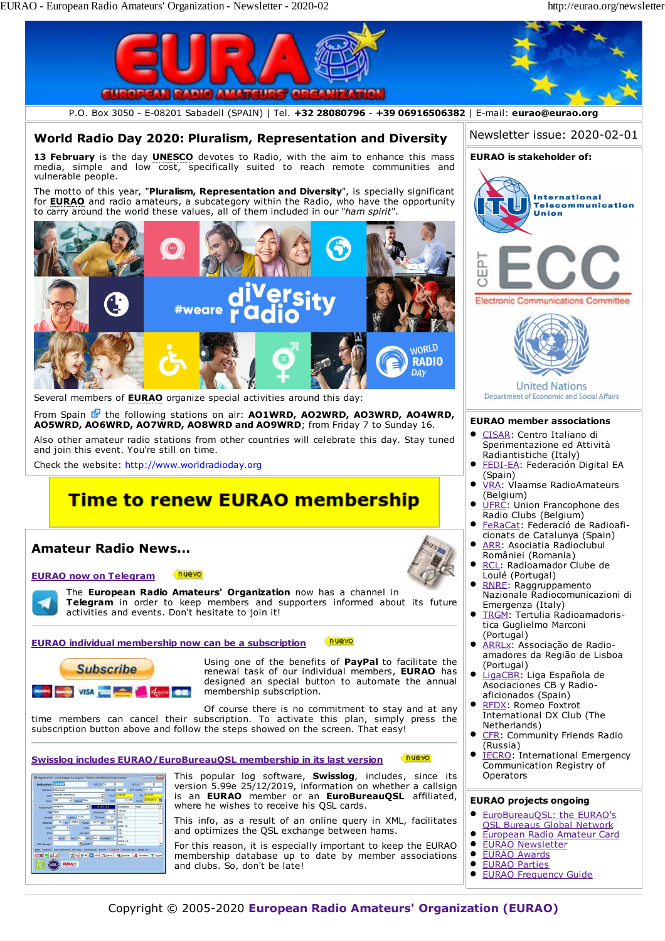